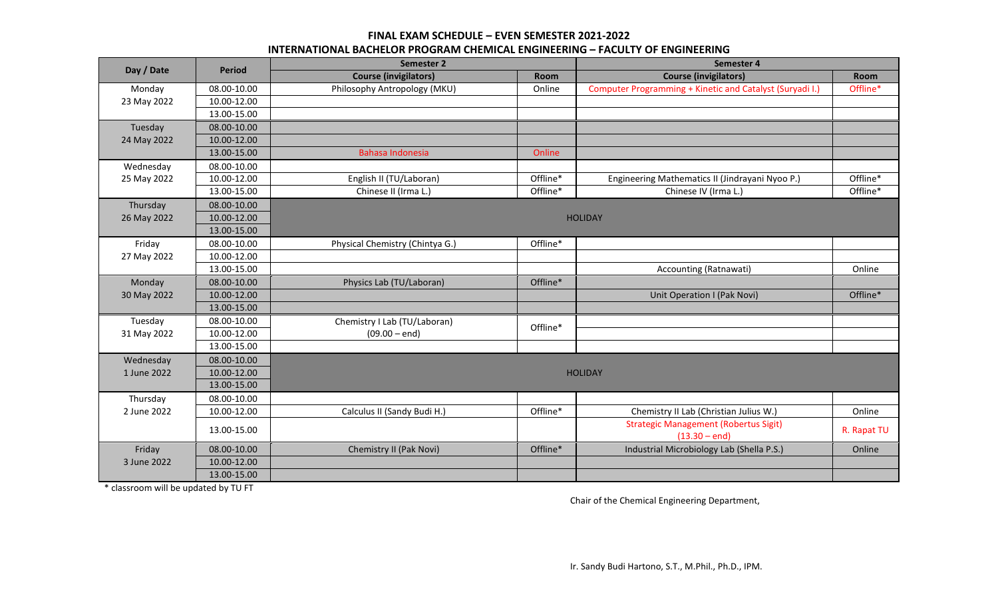## **FINAL EXAM SCHEDULE – EVEN SEMESTER 2021-2022 INTERNATIONAL BACHELOR PROGRAM CHEMICAL ENGINEERING – FACULTY OF ENGINEERING**

| Day / Date  | <b>Period</b> | Semester 2                      |          | Semester 4                                               |             |
|-------------|---------------|---------------------------------|----------|----------------------------------------------------------|-------------|
|             |               | <b>Course (invigilators)</b>    | Room     | <b>Course (invigilators)</b>                             | Room        |
| Monday      | 08.00-10.00   | Philosophy Antropology (MKU)    | Online   | Computer Programming + Kinetic and Catalyst (Suryadi I.) | Offline*    |
| 23 May 2022 | 10.00-12.00   |                                 |          |                                                          |             |
|             | 13.00-15.00   |                                 |          |                                                          |             |
| Tuesday     | 08.00-10.00   |                                 |          |                                                          |             |
| 24 May 2022 | 10.00-12.00   |                                 |          |                                                          |             |
|             | 13.00-15.00   | Bahasa Indonesia                | Online   |                                                          |             |
| Wednesday   | 08.00-10.00   |                                 |          |                                                          |             |
| 25 May 2022 | 10.00-12.00   | English II (TU/Laboran)         | Offline* | Engineering Mathematics II (Jindrayani Nyoo P.)          | Offline*    |
|             | 13.00-15.00   | Chinese II (Irma L.)            | Offline* | Chinese IV (Irma L.)                                     | Offline*    |
| Thursday    | 08.00-10.00   |                                 |          |                                                          |             |
| 26 May 2022 | 10.00-12.00   | <b>HOLIDAY</b>                  |          |                                                          |             |
|             | 13.00-15.00   |                                 |          |                                                          |             |
| Friday      | 08.00-10.00   | Physical Chemistry (Chintya G.) | Offline* |                                                          |             |
| 27 May 2022 | 10.00-12.00   |                                 |          |                                                          |             |
|             | 13.00-15.00   |                                 |          | Accounting (Ratnawati)                                   | Online      |
| Monday      | 08.00-10.00   | Physics Lab (TU/Laboran)        | Offline* |                                                          |             |
| 30 May 2022 | 10.00-12.00   |                                 |          | Unit Operation I (Pak Novi)                              | Offline*    |
|             | 13.00-15.00   |                                 |          |                                                          |             |
| Tuesday     | 08.00-10.00   | Chemistry I Lab (TU/Laboran)    | Offline* |                                                          |             |
| 31 May 2022 | 10.00-12.00   | $(09.00 - end)$                 |          |                                                          |             |
|             | 13.00-15.00   |                                 |          |                                                          |             |
| Wednesday   | 08.00-10.00   |                                 |          |                                                          |             |
| 1 June 2022 | 10.00-12.00   | <b>HOLIDAY</b>                  |          |                                                          |             |
|             | 13.00-15.00   |                                 |          |                                                          |             |
| Thursday    | 08.00-10.00   |                                 |          |                                                          |             |
| 2 June 2022 | 10.00-12.00   | Calculus II (Sandy Budi H.)     | Offline* | Chemistry II Lab (Christian Julius W.)                   | Online      |
|             |               |                                 |          | <b>Strategic Management (Robertus Sigit)</b>             | R. Rapat TU |
|             | 13.00-15.00   |                                 |          | $(13.30 - end)$                                          |             |
| Friday      | 08.00-10.00   | Chemistry II (Pak Novi)         | Offline* | Industrial Microbiology Lab (Shella P.S.)                | Online      |
| 3 June 2022 | 10.00-12.00   |                                 |          |                                                          |             |
|             | 13.00-15.00   |                                 |          |                                                          |             |

\* classroom will be updated by TU FT

Chair of the Chemical Engineering Department,